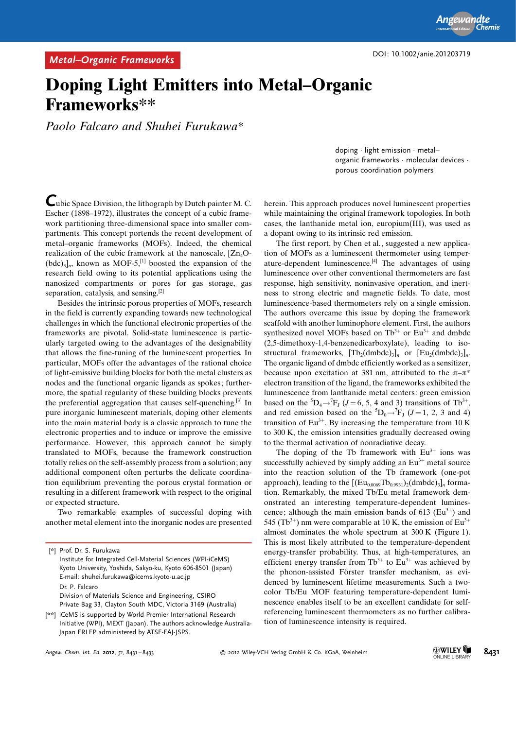## Doping Light Emitters into Metal–Organic Frameworks\*\*

Paolo Falcaro and Shuhei Furukawa\*

doping · light emission · metal– organic frameworks · molecular devices · porous coordination polymers

Cubic Space Division, the lithograph by Dutch painter M. C. Escher (1898–1972), illustrates the concept of a cubic framework partitioning three-dimensional space into smaller compartments. This concept portends the recent development of metal–organic frameworks (MOFs). Indeed, the chemical realization of the cubic framework at the nanoscale,  $[Zn_4O (bdc)_{3}]_n$ , known as MOF-5,<sup>[1]</sup> boosted the expansion of the research field owing to its potential applications using the nanosized compartments or pores for gas storage, gas separation, catalysis, and sensing.<sup>[2]</sup>

Besides the intrinsic porous properties of MOFs, research in the field is currently expanding towards new technological challenges in which the functional electronic properties of the frameworks are pivotal. Solid-state luminescence is particularly targeted owing to the advantages of the designability that allows the fine-tuning of the luminescent properties. In particular, MOFs offer the advantages of the rational choice of light-emissive building blocks for both the metal clusters as nodes and the functional organic ligands as spokes; furthermore, the spatial regularity of these building blocks prevents the preferential aggregation that causes self-quenching.[3] In pure inorganic luminescent materials, doping other elements into the main material body is a classic approach to tune the electronic properties and to induce or improve the emissive performance. However, this approach cannot be simply translated to MOFs, because the framework construction totally relies on the self-assembly process from a solution; any additional component often perturbs the delicate coordination equilibrium preventing the porous crystal formation or resulting in a different framework with respect to the original or expected structure.

Two remarkable examples of successful doping with another metal element into the inorganic nodes are presented

herein. This approach produces novel luminescent properties while maintaining the original framework topologies. In both cases, the lanthanide metal ion, europium(III), was used as

a dopant owing to its intrinsic red emission.

The first report, by Chen et al., suggested a new application of MOFs as a luminescent thermometer using temperature-dependent luminescence.[4] The advantages of using luminescence over other conventional thermometers are fast response, high sensitivity, noninvasive operation, and inertness to strong electric and magnetic fields. To date, most luminescence-based thermometers rely on a single emission. The authors overcame this issue by doping the framework scaffold with another luminophore element. First, the authors synthesized novel MOFs based on  $Tb^{3+}$  or  $Eu^{3+}$  and dmbdc (2,5-dimethoxy-1,4-benzenedicarboxylate), leading to isostructural frameworks,  $[Tb_2(dmbdc)_3]_n$  or  $[Eu_2(dmbdc)_3]_n$ . The organic ligand of dmbdc efficiently worked as a sensitizer, because upon excitation at 381 nm, attributed to the  $\pi-\pi^*$ electron transition of the ligand, the frameworks exhibited the luminescence from lanthanide metal centers: green emission based on the <sup>5</sup>D<sub>4</sub> $\rightarrow$ <sup>7</sup>F<sub>J</sub> (*J* = 6, 5, 4 and 3) transitions of Tb<sup>3+</sup>, and red emission based on the  ${}^5D_0 \rightarrow {}^7F_J$  (*J* = 1, 2, 3 and 4) transition of  $Eu^{3+}$ . By increasing the temperature from 10 K to 300 K, the emission intensities gradually decreased owing to the thermal activation of nonradiative decay.

The doping of the Tb framework with  $Eu^{3+}$  ions was successfully achieved by simply adding an  $Eu^{3+}$  metal source into the reaction solution of the Tb framework (one-pot approach), leading to the  $[(Eu_{0.0069}Tb_{0.9931})_2(dmbdc)_3]_n$  formation. Remarkably, the mixed Tb/Eu metal framework demonstrated an interesting temperature-dependent luminescence; although the main emission bands of  $613$  (Eu<sup>3+</sup>) and 545 (Tb<sup>3+</sup>) nm were comparable at 10 K, the emission of  $Eu^{3+}$ almost dominates the whole spectrum at 300 K (Figure 1). This is most likely attributed to the temperature-dependent energy-transfer probability. Thus, at high-temperatures, an efficient energy transfer from  $Tb^{3+}$  to  $Eu^{3+}$  was achieved by the phonon-assisted Förster transfer mechanism, as evidenced by luminescent lifetime measurements. Such a twocolor Tb/Eu MOF featuring temperature-dependent luminescence enables itself to be an excellent candidate for selfreferencing luminescent thermometers as no further calibration of luminescence intensity is required.

<sup>[\*]</sup> Prof. Dr. S. Furukawa Institute for Integrated Cell-Material Sciences (WPI-iCeMS) Kyoto University, Yoshida, Sakyo-ku, Kyoto 606-8501 (Japan) E-mail: shuhei.furukawa@icems.kyoto-u.ac.jp Dr. P. Falcaro Division of Materials Science and Engineering, CSIRO Private Bag 33, Clayton South MDC, Victoria 3169 (Australia)

<sup>[\*\*]</sup> iCeMS is supported by World Premier International Research Initiative (WPI), MEXT (Japan). The authors acknowledge Australia-Japan ERLEP administered by ATSE-EAJ-JSPS.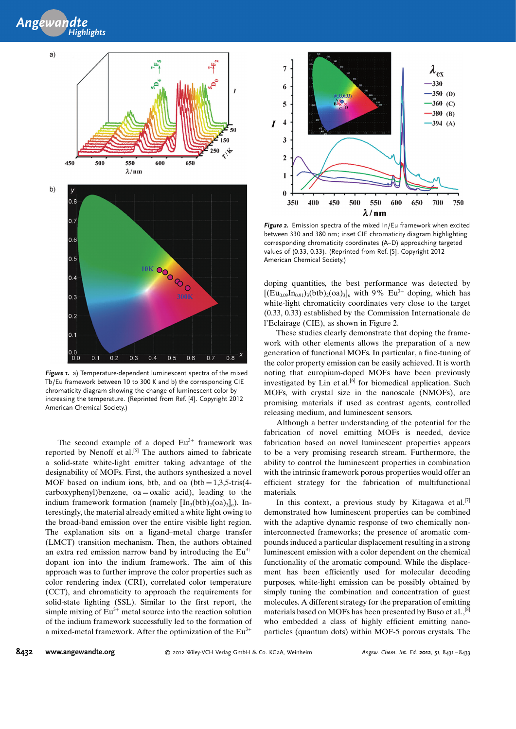



Figure 1. a) Temperature-dependent luminescent spectra of the mixed Tb/Eu framework between 10 to 300 K and b) the corresponding CIE chromaticity diagram showing the change of luminescent color by increasing the temperature. (Reprinted from Ref. [4]. Copyright 2012 American Chemical Society.)

The second example of a doped  $Eu<sup>3+</sup>$  framework was reported by Nenoff et al.<sup>[5]</sup> The authors aimed to fabricate a solid-state white-light emitter taking advantage of the designability of MOFs. First, the authors synthesized a novel MOF based on indium ions, btb, and oa  $(btb = 1,3,5\text{-}tris(4-))$  $carboxyphenyl) benzene, oa = 0 xalic acid), leading to the$ indium framework formation (namely  $[\text{In}_3(\text{btb})_2(\text{oa})_3]_n$ ). Interestingly, the material already emitted a white light owing to the broad-band emission over the entire visible light region. The explanation sits on a ligand–metal charge transfer (LMCT) transition mechanism. Then, the authors obtained an extra red emission narrow band by introducing the  $Eu<sup>3+</sup>$ dopant ion into the indium framework. The aim of this approach was to further improve the color properties such as color rendering index (CRI), correlated color temperature (CCT), and chromaticity to approach the requirements for solid-state lighting (SSL). Similar to the first report, the simple mixing of  $Eu^{3+}$  metal source into the reaction solution of the indium framework successfully led to the formation of a mixed-metal framework. After the optimization of the  $Eu^{3+}$ 



Figure 2. Emission spectra of the mixed In/Eu framework when excited between 330 and 380 nm; inset CIE chromaticity diagram highlighting corresponding chromaticity coordinates (A–D) approaching targeted values of (0.33, 0.33). (Reprinted from Ref. [5]. Copyright 2012 American Chemical Society.)

doping quantities, the best performance was detected by  $[(Eu_{0.09}In_{0.91})_{3} (btb)_{2} (oa)_{3}]_{n}$  with 9% Eu<sup>3+</sup> doping, which has white-light chromaticity coordinates very close to the target (0.33, 0.33) established by the Commission Internationale de l'Eclairage (CIE), as shown in Figure 2.

These studies clearly demonstrate that doping the framework with other elements allows the preparation of a new generation of functional MOFs. In particular, a fine-tuning of the color property emission can be easily achieved. It is worth noting that europium-doped MOFs have been previously investigated by Lin et al. $[6]$  for biomedical application. Such MOFs, with crystal size in the nanoscale (NMOFs), are promising materials if used as contrast agents, controlled releasing medium, and luminescent sensors.

Although a better understanding of the potential for the fabrication of novel emitting MOFs is needed, device fabrication based on novel luminescent properties appears to be a very promising research stream. Furthermore, the ability to control the luminescent properties in combination with the intrinsic framework porous properties would offer an efficient strategy for the fabrication of multifunctional materials.

In this context, a previous study by Kitagawa et al.<sup>[7]</sup> demonstrated how luminescent properties can be combined with the adaptive dynamic response of two chemically noninterconnected frameworks; the presence of aromatic compounds induced a particular displacement resulting in a strong luminescent emission with a color dependent on the chemical functionality of the aromatic compound. While the displacement has been efficiently used for molecular decoding purposes, white-light emission can be possibly obtained by simply tuning the combination and concentration of guest molecules. A different strategy for the preparation of emitting materials based on MOFs has been presented by Buso et al.,[8] who embedded a class of highly efficient emitting nanoparticles (quantum dots) within MOF-5 porous crystals. The